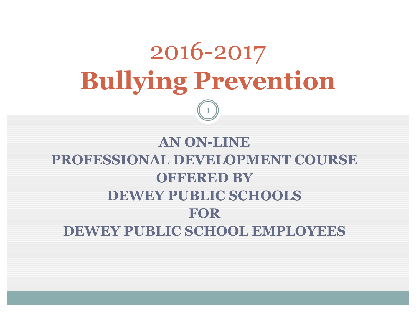## 2016-2017 **Bullying Prevention** 1

#### **AN ON-LINE PROFESSIONAL DEVELOPMENT COURSE OFFERED BY DEWEY PUBLIC SCHOOLS FOR DEWEY PUBLIC SCHOOL EMPLOYEES**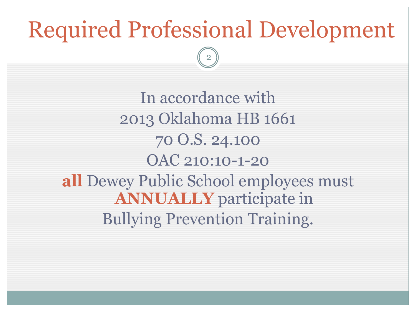# Required Professional Development

2

In accordance with 2013 Oklahoma HB 1661 70 O.S. 24.100 OAC 210:10-1-20 **all** Dewey Public School employees must **ANNUALLY** participate in Bullying Prevention Training.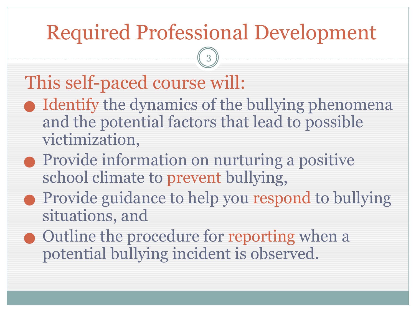## Required Professional Development

3

#### This self-paced course will:

- Identify the dynamics of the bullying phenomena and the potential factors that lead to possible victimization,
- ⬤ Provide information on nurturing a positive school climate to prevent bullying,
- ⬤ Provide guidance to help you respond to bullying situations, and
- ⬤ Outline the procedure for reporting when a potential bullying incident is observed.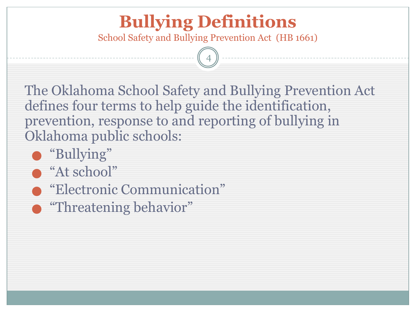#### **Bullying Definitions**

School Safety and Bullying Prevention Act (HB 1661)

4

The Oklahoma School Safety and Bullying Prevention Act defines four terms to help guide the identification, prevention, response to and reporting of bullying in Oklahoma public schools:

- ⬤ "Bullying"
- "At school"
- ⬤ "Electronic Communication"
- **•** "Threatening behavior"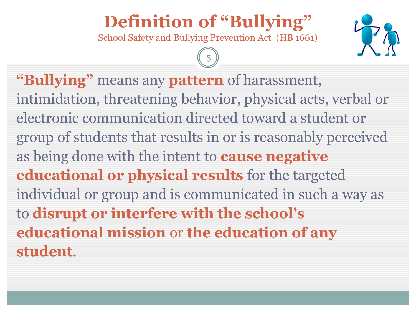#### **Definition of "Bullying"**

School Safety and Bullying Prevention Act (HB 1661)

5



**"Bullying"** means any **pattern** of harassment, intimidation, threatening behavior, physical acts, verbal or electronic communication directed toward a student or group of students that results in or is reasonably perceived as being done with the intent to **cause negative educational or physical results** for the targeted individual or group and is communicated in such a way as to **disrupt or interfere with the school's educational mission** or **the education of any student**.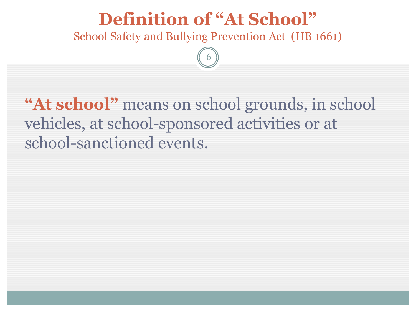#### **Definition of "At School"**

School Safety and Bullying Prevention Act (HB 1661)

6

**"At school"** means on school grounds, in school vehicles, at school-sponsored activities or at school-sanctioned events.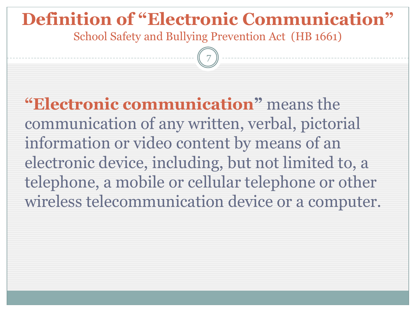#### **Definition of "Electronic Communication"**

School Safety and Bullying Prevention Act (HB 1661)

7

**"Electronic communication"** means the communication of any written, verbal, pictorial information or video content by means of an electronic device, including, but not limited to, a telephone, a mobile or cellular telephone or other wireless telecommunication device or a computer.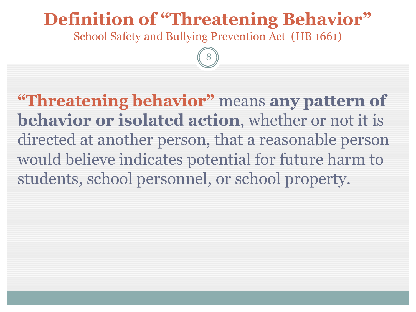#### **Definition of "Threatening Behavior"**

School Safety and Bullying Prevention Act (HB 1661)

8

**"Threatening behavior"** means **any pattern of behavior or isolated action**, whether or not it is directed at another person, that a reasonable person would believe indicates potential for future harm to students, school personnel, or school property.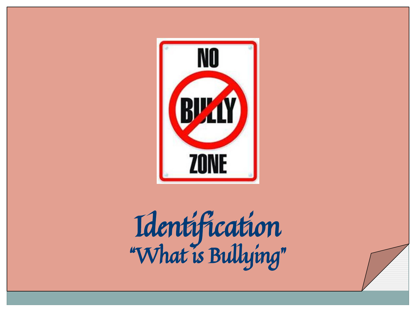

Identification "What is Bullying"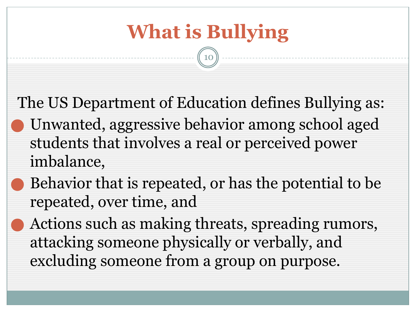## **What is Bullying**

10

The US Department of Education defines Bullying as: ⬤ Unwanted, aggressive behavior among school aged students that involves a real or perceived power imbalance,

- ⬤ Behavior that is repeated, or has the potential to be repeated, over time, and
- ⬤ Actions such as making threats, spreading rumors, attacking someone physically or verbally, and excluding someone from a group on purpose.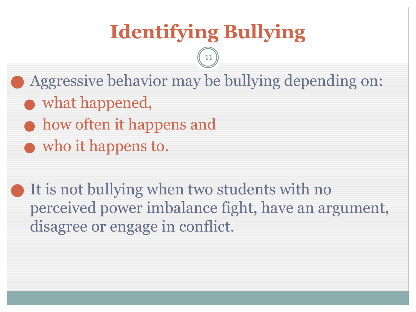## **Identifying Bullying**

11

Aggressive behavior may be bullying depending on:

- what happened,
- how often it happens and
- who it happens to.

It is not bullying when two students with no perceived power imbalance fight, have an argument, disagree or engage in conflict.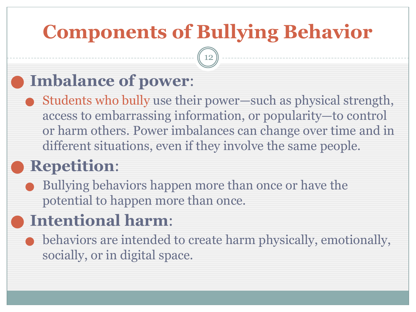## **Components of Bullying Behavior**

12

#### ⬤ **Imbalance of power**:

⬤ Students who bully use their power—such as physical strength, access to embarrassing information, or popularity—to control or harm others. Power imbalances can change over time and in different situations, even if they involve the same people.

#### ⬤ **Repetition**:

⬤ Bullying behaviors happen more than once or have the potential to happen more than once.

#### ⬤ **Intentional harm**:

⬤ behaviors are intended to create harm physically, emotionally, socially, or in digital space.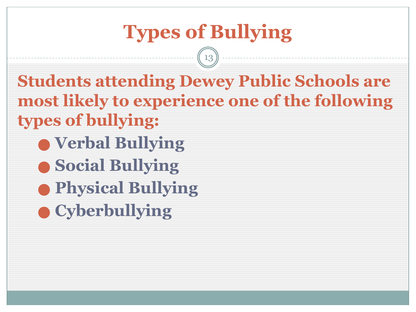## **Types of Bullying**

13

**Students attending Dewey Public Schools are most likely to experience one of the following types of bullying:**

- ⬤ **Verbal Bullying**
- ⬤ **Social Bullying**
- ⬤ **Physical Bullying**
- ⬤ **Cyberbullying**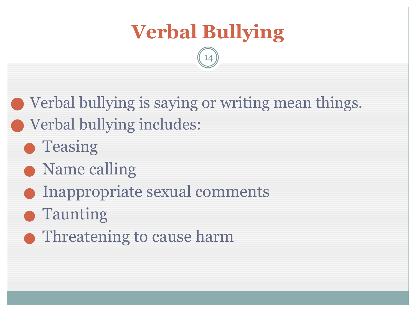

14

Verbal bullying is saying or writing mean things. Verbal bullying includes:

- **Teasing**
- Name calling
- Inappropriate sexual comments
- **Taunting**
- ⬤ Threatening to cause harm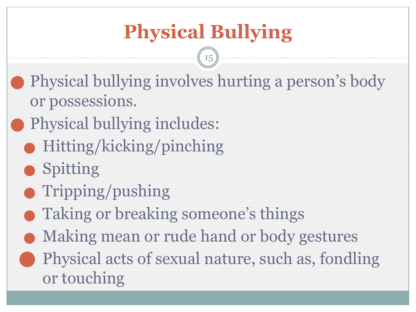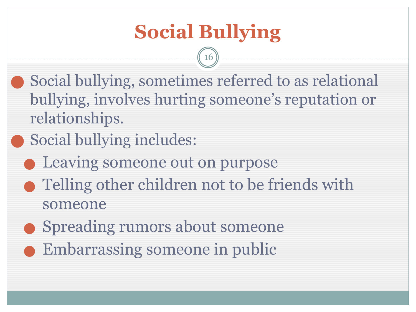## **Social Bullying**

16

- Social bullying, sometimes referred to as relational bullying, involves hurting someone's reputation or relationships.
- Social bullying includes:
- Leaving someone out on purpose
- ⬤ Telling other children not to be friends with someone
- **Spreading rumors about someone** 
	- Embarrassing someone in public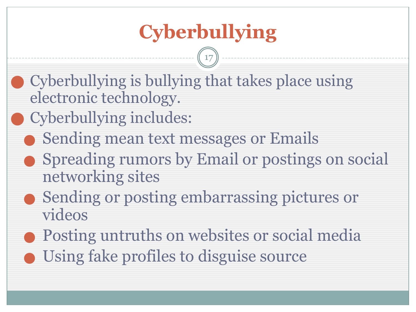## **Cyberbullying**

17

- ⬤ Cyberbullying is bullying that takes place using electronic technology.
- Cyberbullying includes:
	- Sending mean text messages or Emails
	- ⬤ Spreading rumors by Email or postings on social networking sites
	- ⬤ Sending or posting embarrassing pictures or videos
	- ⬤ Posting untruths on websites or social media
	- Using fake profiles to disguise source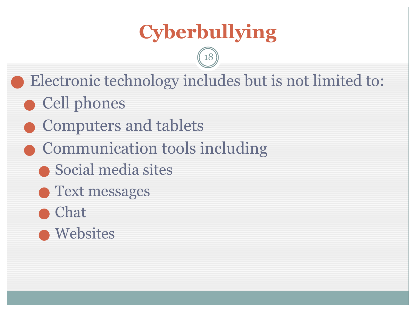## **Cyberbullying**

18

- Electronic technology includes but is not limited to:
- ⬤ Cell phones
	- ⬤ Computers and tablets
- ⬤ Communication tools including
	- ⬤ Social media sites
	- ⬤ Text messages

#### **Chat**

⬤ Websites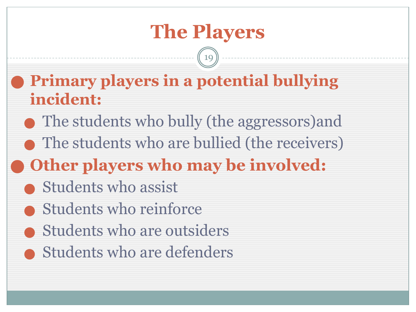19

- ⬤ **Primary players in a potential bullying incident:**
	- The students who bully (the aggressors) and
- The students who are bullied (the receivers)
- ⬤ **Other players who may be involved:**
	- **Students who assist**
	- Students who reinforce
	- ⬤ Students who are outsiders
	- **Students who are defenders**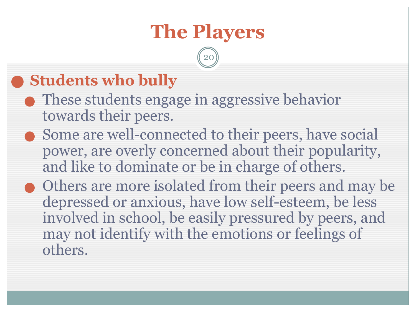20

#### ⬤ **Students who bully**

- ⬤ These students engage in aggressive behavior towards their peers.
- ⬤ Some are well-connected to their peers, have social power, are overly concerned about their popularity, and like to dominate or be in charge of others.
- ⬤ Others are more isolated from their peers and may be depressed or anxious, have low self-esteem, be less involved in school, be easily pressured by peers, and may not identify with the emotions or feelings of others.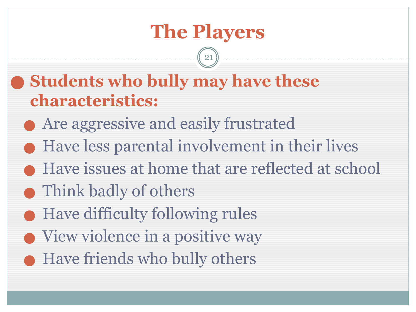21

⬤ **Students who bully may have these characteristics:**

⬤ Are aggressive and easily frustrated

- ⬤ Have less parental involvement in their lives
- Have issues at home that are reflected at school
- Think badly of others
- ⬤ Have difficulty following rules
- ⬤ View violence in a positive way
	- Have friends who bully others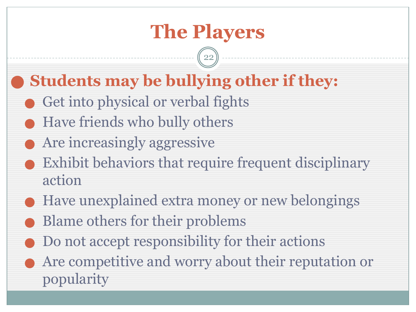22

#### ⬤ **Students may be bullying other if they:**

- Get into physical or verbal fights
- Have friends who bully others
- ⬤ Are increasingly aggressive
- Exhibit behaviors that require frequent disciplinary action
- Have unexplained extra money or new belongings
- ⬤ Blame others for their problems
- ⬤ Do not accept responsibility for their actions
	- ⬤ Are competitive and worry about their reputation or popularity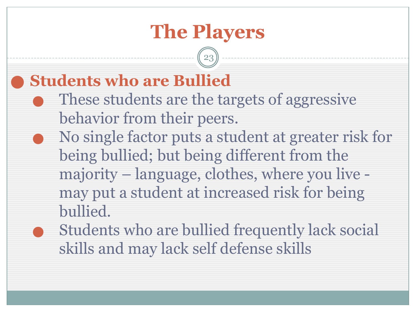23

#### ⬤ **Students who are Bullied**

- ⬤ These students are the targets of aggressive behavior from their peers.
- ⬤ No single factor puts a student at greater risk for being bullied; but being different from the majority – language, clothes, where you live may put a student at increased risk for being bullied.
- ⬤ Students who are bullied frequently lack social skills and may lack self defense skills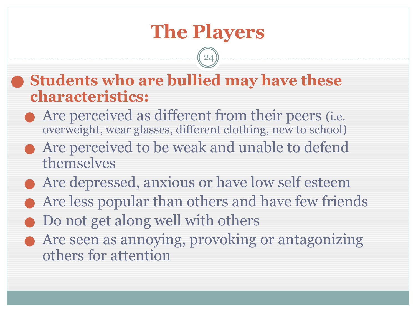24

#### ⬤ **Students who are bullied may have these characteristics:**

- Are perceived as different from their peers *(i.e.*) overweight, wear glasses, different clothing, new to school)
- ⬤ Are perceived to be weak and unable to defend themselves
- ⬤ Are depressed, anxious or have low self esteem
- ⬤ Are less popular than others and have few friends
- ⬤ Do not get along well with others
- ⬤ Are seen as annoying, provoking or antagonizing others for attention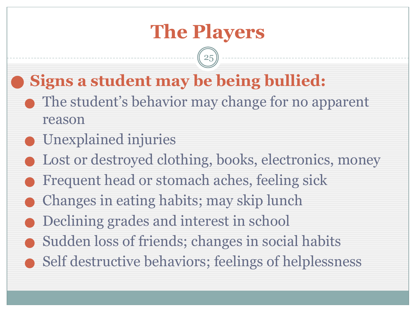25

#### ⬤ **Signs a student may be being bullied:**

- The student's behavior may change for no apparent reason
- ⬤ Unexplained injuries
- Lost or destroyed clothing, books, electronics, money
- ⬤ Frequent head or stomach aches, feeling sick
- ⬤ Changes in eating habits; may skip lunch
- ⬤ Declining grades and interest in school
- Sudden loss of friends; changes in social habits
	- Self destructive behaviors; feelings of helplessness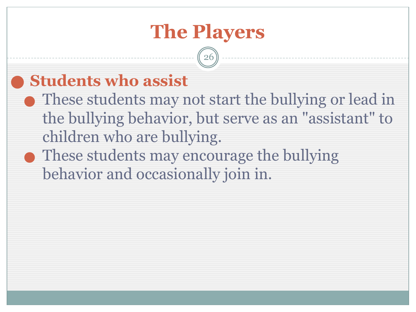26

#### ⬤ **Students who assist**

- ⬤ These students may not start the bullying or lead in the bullying behavior, but serve as an "assistant" to children who are bullying.
- These students may encourage the bullying behavior and occasionally join in.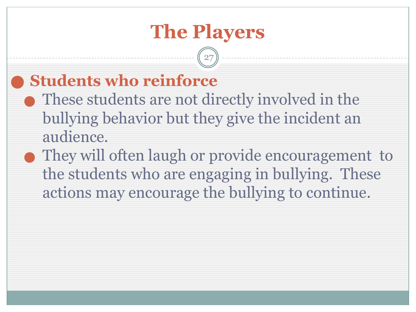$2<sup>r</sup>$ 

#### ⬤ **Students who reinforce**

- ⬤ These students are not directly involved in the bullying behavior but they give the incident an audience.
- ⬤ They will often laugh or provide encouragement to the students who are engaging in bullying. These actions may encourage the bullying to continue.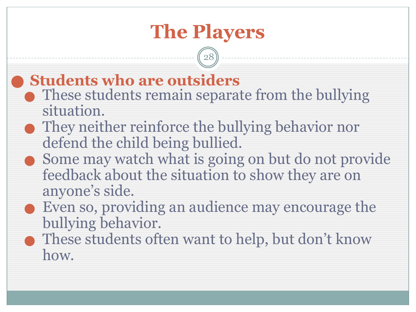28

#### ⬤ **Students who are outsiders**

- These students remain separate from the bullying situation.
- ⬤ They neither reinforce the bullying behavior nor defend the child being bullied.
- ⬤ Some may watch what is going on but do not provide feedback about the situation to show they are on anyone's side.
- ⬤ Even so, providing an audience may encourage the bullying behavior.
	- These students often want to help, but don't know how.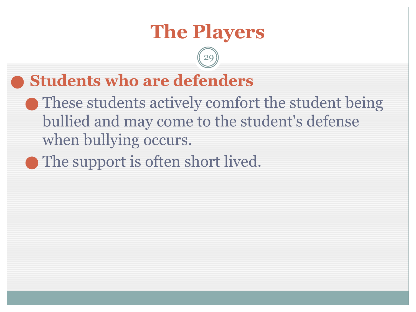29

#### ⬤ **Students who are defenders**

- ⬤ These students actively comfort the student being bullied and may come to the student's defense when bullying occurs.
- ⬤ The support is often short lived.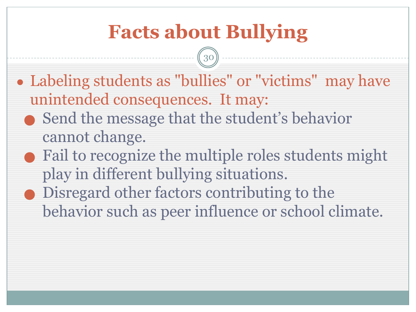## **Facts about Bullying**

30

- Labeling students as "bullies" or "victims" may have unintended consequences. It may:
	- ⬤ Send the message that the student's behavior cannot change.
	- ⬤ Fail to recognize the multiple roles students might play in different bullying situations.
	- ⬤ Disregard other factors contributing to the behavior such as peer influence or school climate.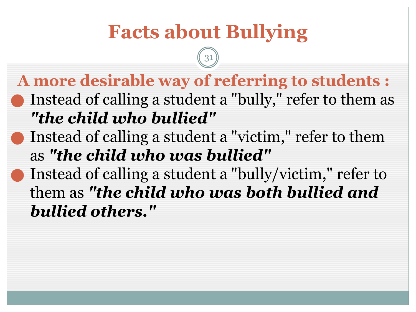#### **Facts about Bullying A more desirable way of referring to students :** Instead of calling a student a "bully," refer to them as *"the child who bullied"* Instead of calling a student a "victim," refer to them as *"the child who was bullied"* Instead of calling a student a "bully/victim," refer to them as *"the child who was both bullied and bullied others."* 31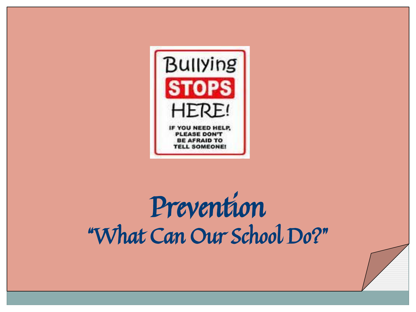

# Prevention "What Can Our School Do?"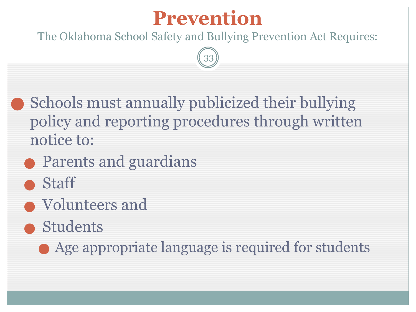#### **Prevention**

The Oklahoma School Safety and Bullying Prevention Act Requires:

33

Schools must annually publicized their bullying policy and reporting procedures through written notice to:

- Parents and guardians
- ⬤ Staff
- ⬤ Volunteers and
- ⬤ Students

⬤ Age appropriate language is required for students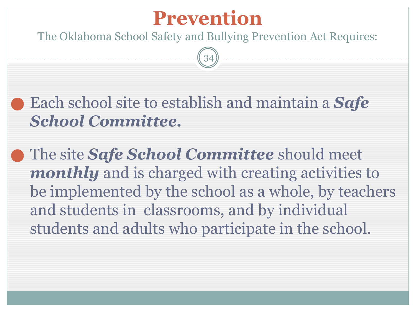#### **Prevention**

The Oklahoma School Safety and Bullying Prevention Act Requires:

34

⬤ Each school site to establish and maintain a *Safe School Committee.* 

⬤ The site *Safe School Committee* should meet *monthly* and is charged with creating activities to be implemented by the school as a whole, by teachers and students in classrooms, and by individual students and adults who participate in the school.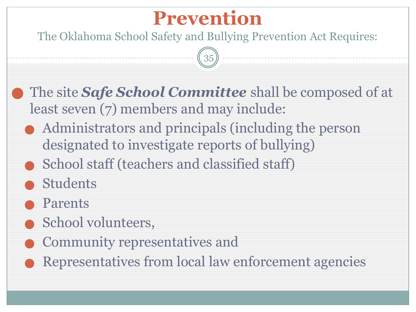#### **Prevention**

The Oklahoma School Safety and Bullying Prevention Act Requires:

35

⬤ The site *Safe School Committee* shall be composed of at least seven (7) members and may include:

- ⬤ Administrators and principals (including the person designated to investigate reports of bullying)
- School staff (teachers and classified staff)
- **Students**
- **Parents**
- School volunteers,
- ⬤ Community representatives and
- ⬤ Representatives from local law enforcement agencies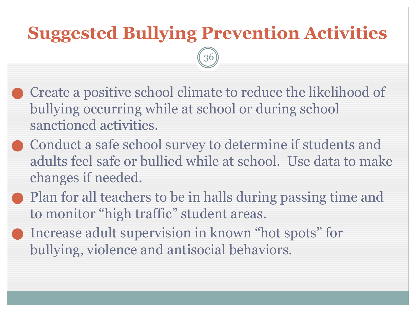#### **Suggested Bullying Prevention Activities**

36

- ⬤ Create a positive school climate to reduce the likelihood of bullying occurring while at school or during school sanctioned activities.
- ⬤ Conduct a safe school survey to determine if students and adults feel safe or bullied while at school. Use data to make changes if needed.
- Plan for all teachers to be in halls during passing time and to monitor "high traffic" student areas.
- ⬤ Increase adult supervision in known "hot spots" for bullying, violence and antisocial behaviors.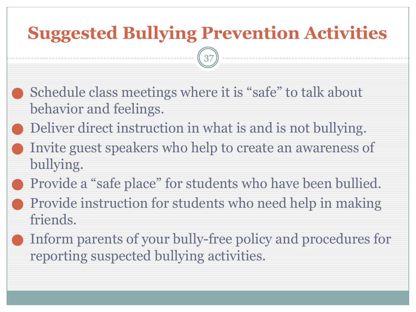#### **Suggested Bullying Prevention Activities**

37

- ⬤ Schedule class meetings where it is "safe" to talk about behavior and feelings.
- Deliver direct instruction in what is and is not bullying.
- ⬤ Invite guest speakers who help to create an awareness of bullying.
- ⬤ Provide a "safe place" for students who have been bullied.
- ⬤ Provide instruction for students who need help in making friends.
	- Inform parents of your bully-free policy and procedures for reporting suspected bullying activities.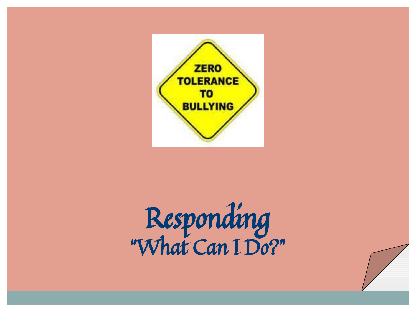

# Responding "What Can I Do?"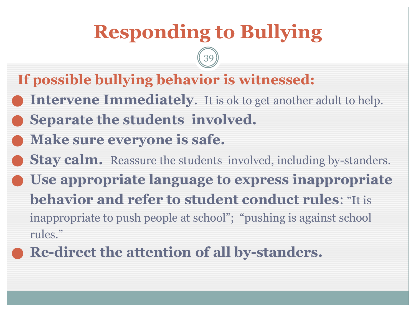39

- **If possible bullying behavior is witnessed:**
- **Intervene Immediately.** It is ok to get another adult to help.
- ⬤ **Separate the students involved.**
- ⬤ **Make sure everyone is safe.**
- **Stay calm.** Reassure the students involved, including by-standers. ⬤ **Use appropriate language to express inappropriate behavior and refer to student conduct rules**: "It is inappropriate to push people at school"; "pushing is against school rules."
	- ⬤ **Re-direct the attention of all by-standers.**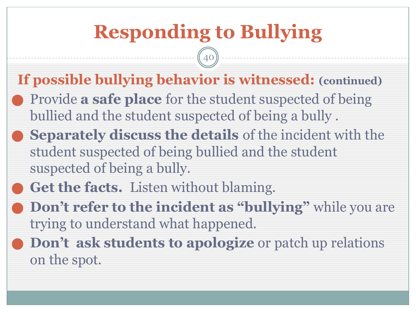40

#### **If possible bullying behavior is witnessed: (continued)**

- ⬤ Provide **a safe place** for the student suspected of being bullied and the student suspected of being a bully .
- ⬤ **Separately discuss the details** of the incident with the student suspected of being bullied and the student suspected of being a bully.

#### Get the facts. Listen without blaming.

- **Don't refer to the incident as "bullying"** while you are trying to understand what happened.
- ⬤ **Don't ask students to apologize** or patch up relations on the spot.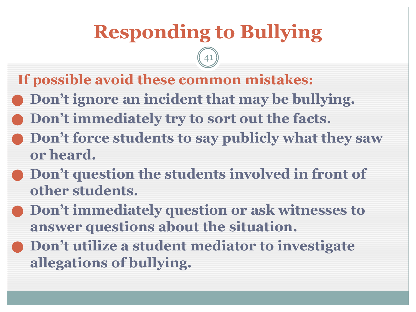41

- **If possible avoid these common mistakes:**
- ⬤ **Don't ignore an incident that may be bullying.**
- ⬤ **Don't immediately try to sort out the facts.**
- ⬤ **Don't force students to say publicly what they saw or heard.**
- ⬤ **Don't question the students involved in front of other students.**
- ⬤ **Don't immediately question or ask witnesses to answer questions about the situation.**
- ⬤ **Don't utilize a student mediator to investigate allegations of bullying.**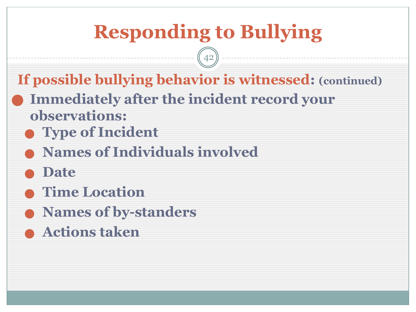42

**If possible bullying behavior is witnessed: (continued)**

- ⬤ **Immediately after the incident record your observations:**
- ⬤ **Type of Incident**
- ⬤ **Names of Individuals involved**
- ⬤ **Date**
- ⬤ **Time Location**
- ⬤ **Names of by-standers**
- ⬤ **Actions taken**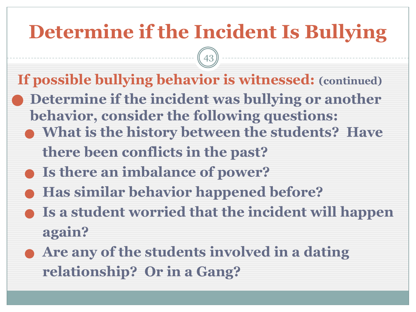## **Determine if the Incident Is Bullying**

43

**If possible bullying behavior is witnessed: (continued)**

- ⬤ **Determine if the incident was bullying or another behavior, consider the following questions:**
	- ⬤ **What is the history between the students? Have there been conflicts in the past?**
		-
	- ⬤ **Is there an imbalance of power?**
	- ⬤ **Has similar behavior happened before?**
	- ⬤ **Is a student worried that the incident will happen again?**
	- ⬤ **Are any of the students involved in a dating relationship? Or in a Gang?**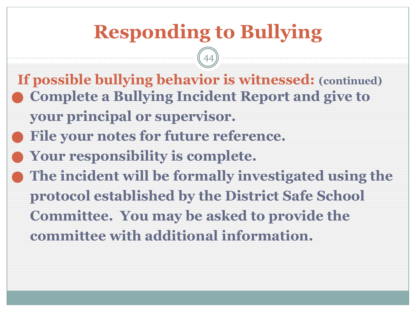#### **Responding to Bullying If possible bullying behavior is witnessed: (continued)**  ⬤ **Complete a Bullying Incident Report and give to your principal or supervisor.** ⬤ **File your notes for future reference.** ⬤ **Your responsibility is complete.** ⬤ **The incident will be formally investigated using the protocol established by the District Safe School Committee. You may be asked to provide the committee with additional information.** 44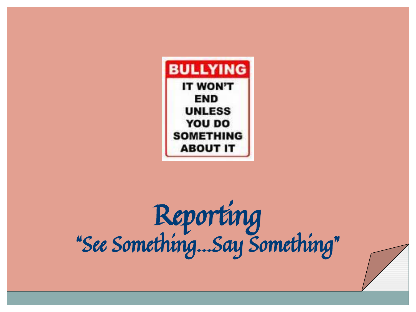

# Reporting "See Something…Say Something"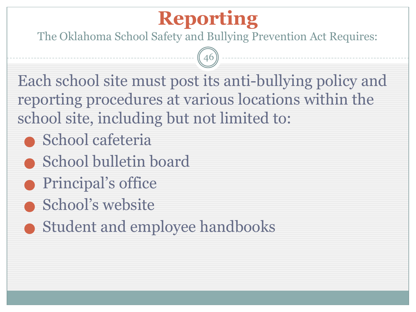The Oklahoma School Safety and Bullying Prevention Act Requires:

46

Each school site must post its anti-bullying policy and reporting procedures at various locations within the school site, including but not limited to:

- ⬤ School cafeteria
- ⬤ School bulletin board
- Principal's office
- **School's website**
- ⬤ Student and employee handbooks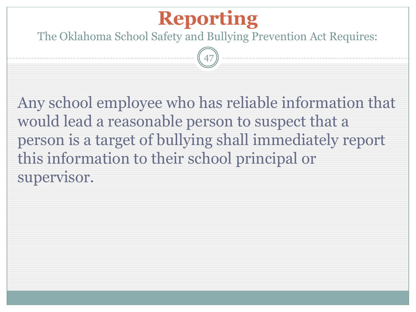The Oklahoma School Safety and Bullying Prevention Act Requires:

47

Any school employee who has reliable information that would lead a reasonable person to suspect that a person is a target of bullying shall immediately report this information to their school principal or supervisor.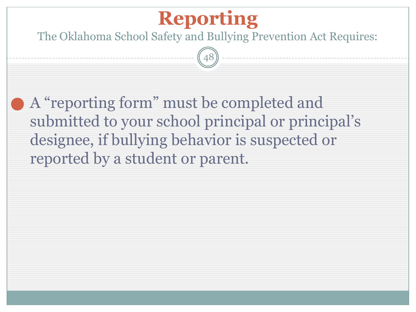The Oklahoma School Safety and Bullying Prevention Act Requires:

48

⬤ A "reporting form" must be completed and submitted to your school principal or principal's designee, if bullying behavior is suspected or reported by a student or parent.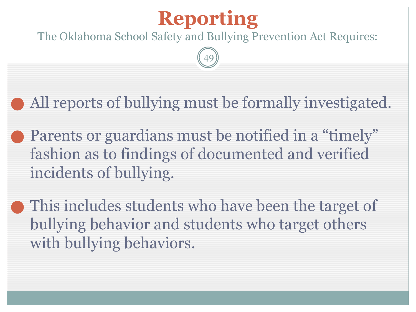The Oklahoma School Safety and Bullying Prevention Act Requires:

49

All reports of bullying must be formally investigated.

Parents or guardians must be notified in a "timely" fashion as to findings of documented and verified incidents of bullying.

This includes students who have been the target of bullying behavior and students who target others with bullying behaviors.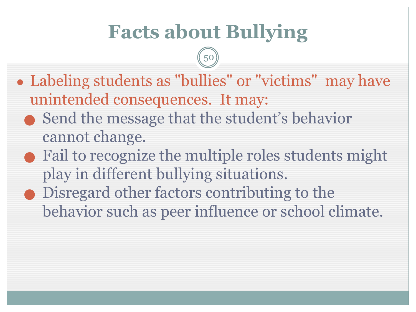## **Facts about Bullying**

50

- Labeling students as "bullies" or "victims" may have unintended consequences. It may:
	- ⬤ Send the message that the student's behavior cannot change.
	- ⬤ Fail to recognize the multiple roles students might play in different bullying situations.
	- ⬤ Disregard other factors contributing to the behavior such as peer influence or school climate.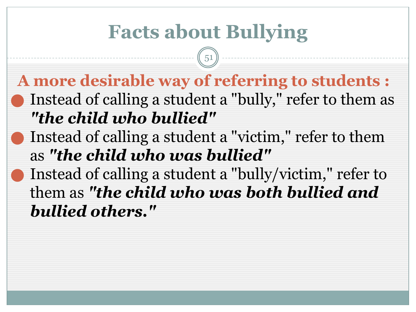### **Facts about Bullying**

51

#### **A more desirable way of referring to students :** Instead of calling a student a "bully," refer to them as *"the child who bullied"*

- Instead of calling a student a "victim," refer to them as *"the child who was bullied"*
- Instead of calling a student a "bully/victim," refer to them as *"the child who was both bullied and bullied others."*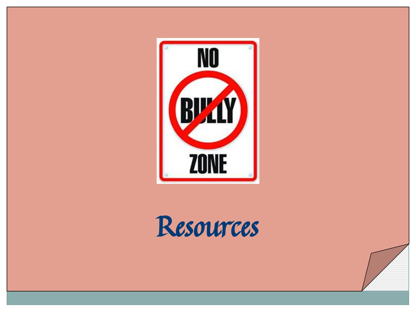

# Resources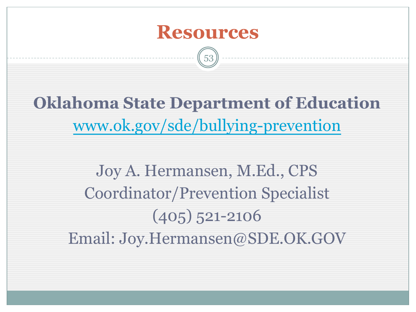

53

**Oklahoma State Department of Education** www.ok.gov/sde/bullying-prevention

Joy A. Hermansen, M.Ed., CPS Coordinator/Prevention Specialist (405) 521-2106 Email: Joy.Hermansen@SDE.OK.GOV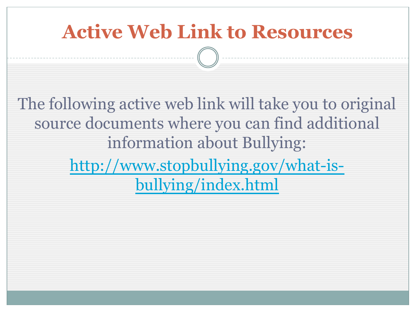## **Active Web Link to Resources**

54

The following active web link will take you to original source documents where you can find additional information about Bullying: http://www.stopbullying.gov/what-isbullying/index.html